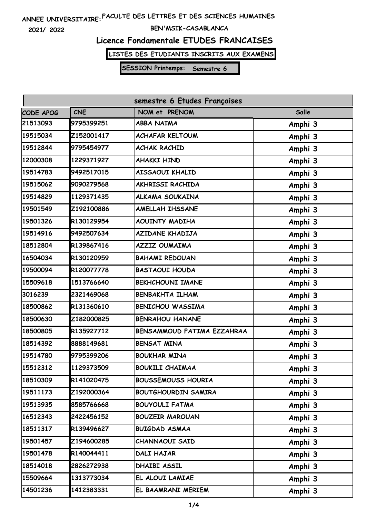**2021/ 2022**

#### **BEN'MSIK-CASABLANCA**

# **Licence Fondamentale ETUDES FRANCAISES**

**LISTES DES ETUDIANTS INSCRITS AUX EXAMENS**

| semestre 6 Etudes Françaises |            |                            |              |  |  |
|------------------------------|------------|----------------------------|--------------|--|--|
| CODE APOG                    | <b>CNE</b> | NOM et PRENOM              | <b>Salle</b> |  |  |
| 21513093                     | 9795399251 | <b>ABBA NAIMA</b>          | Amphi 3      |  |  |
| 19515034                     | Z152001417 | <b>ACHAFAR KELTOUM</b>     | Amphi 3      |  |  |
| 19512844                     | 9795454977 | <b>ACHAK RACHID</b>        | Amphi 3      |  |  |
| 12000308                     | 1229371927 | <b>AHAKKI HIND</b>         | Amphi 3      |  |  |
| 19514783                     | 9492517015 | AISSAOUI KHALID            | Amphi 3      |  |  |
| 19515062                     | 9090279568 | AKHRISSI RACHIDA           | Amphi 3      |  |  |
| 19514829                     | 1129371435 | ALKAMA SOUKAINA            | Amphi 3      |  |  |
| 19501549                     | Z192100886 | AMELLAH IHSSANE            | Amphi 3      |  |  |
| 19501326                     | R130129954 | <b>AOUINTY MADIHA</b>      | Amphi 3      |  |  |
| 19514916                     | 9492507634 | <b>AZIDANE KHADIJA</b>     | Amphi 3      |  |  |
| 18512804                     | R139867416 | <b>AZZIZ OUMAIMA</b>       | Amphi 3      |  |  |
| 16504034                     | R130120959 | <b>BAHAMI REDOUAN</b>      | Amphi 3      |  |  |
| 19500094                     | R120077778 | <b>BASTAOUI HOUDA</b>      | Amphi 3      |  |  |
| 15509618                     | 1513766640 | <b>BEKHCHOUNI IMANE</b>    | Amphi 3      |  |  |
| 3016239                      | 2321469068 | <b>BENBAKHTA ILHAM</b>     | Amphi 3      |  |  |
| 18500862                     | R131360610 | <b>BENICHOU WASSIMA</b>    | Amphi 3      |  |  |
| 18500630                     | Z182000825 | <b>BENRAHOU HANANE</b>     | Amphi 3      |  |  |
| 18500805                     | R135927712 | BENSAMMOUD FATIMA EZZAHRAA | Amphi 3      |  |  |
| 18514392                     | 8888149681 | <b>BENSAT MINA</b>         | Amphi 3      |  |  |
| 19514780                     | 9795399206 | <b>BOUKHAR MINA</b>        | Amphi 3      |  |  |
| 15512312                     | 1129373509 | <b>BOUKILI CHAIMAA</b>     | Amphi 3      |  |  |
| 18510309                     | R141020475 | <b>BOUSSEMOUSS HOURIA</b>  | Amphi 3      |  |  |
| 19511173                     | Z192000364 | <b>BOUTGHOURDIN SAMIRA</b> | Amphi 3      |  |  |
| 19513935                     | 8585766668 | <b>BOUYOULI FATMA</b>      | Amphi 3      |  |  |
| 16512343                     | 2422456152 | <b>BOUZEIR MAROUAN</b>     | Amphi 3      |  |  |
| 18511317                     | R139496627 | <b>BUIGDAD ASMAA</b>       | Amphi 3      |  |  |
| 19501457                     | Z194600285 | CHANNAOUI SAID             | Amphi 3      |  |  |
| 19501478                     | R140044411 | DALI HAJAR                 | Amphi 3      |  |  |
| 18514018                     | 2826272938 | DHAIBI ASSIL               | Amphi 3      |  |  |
| 15509664                     | 1313773034 | EL ALOUI LAMIAE            | Amphi 3      |  |  |
| 14501236                     | 1412383331 | EL BAAMRANI MERIEM         | Amphi 3      |  |  |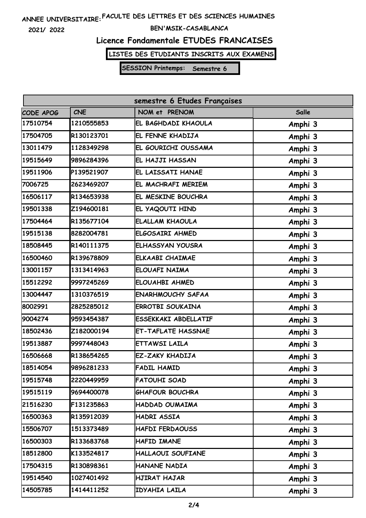**2021/ 2022**

#### **BEN'MSIK-CASABLANCA**

### **Licence Fondamentale ETUDES FRANCAISES**

**LISTES DES ETUDIANTS INSCRITS AUX EXAMENS**

| semestre 6 Etudes Françaises |            |                             |         |  |  |
|------------------------------|------------|-----------------------------|---------|--|--|
| CODE APOG                    | <b>CNE</b> | NOM et PRENOM               | Salle   |  |  |
| 17510754                     | 1210555853 | EL BAGHDADI KHAOULA         | Amphi 3 |  |  |
| 17504705                     | R130123701 | EL FENNE KHADIJA            | Amphi 3 |  |  |
| 13011479                     | 1128349298 | EL GOURICHI OUSSAMA         | Amphi 3 |  |  |
| 19515649                     | 9896284396 | EL HAJJI HASSAN             | Amphi 3 |  |  |
| 19511906                     | P139521907 | EL LAISSATI HANAE           | Amphi 3 |  |  |
| 7006725                      | 2623469207 | EL MACHRAFI MERIEM          | Amphi 3 |  |  |
| 16506117                     | R134653938 | EL MESKINE BOUCHRA          | Amphi 3 |  |  |
| 19501338                     | Z194600181 | EL YAQOUTI HIND             | Amphi 3 |  |  |
| 17504464                     | R135677104 | <b>ELALLAM KHAOULA</b>      | Amphi 3 |  |  |
| 19515138                     | 8282004781 | ELGOSAIRI AHMED             | Amphi 3 |  |  |
| 18508445                     | R140111375 | <b>ELHASSYAN YOUSRA</b>     | Amphi 3 |  |  |
| 16500460                     | R139678809 | <b>ELKAABI CHAIMAE</b>      | Amphi 3 |  |  |
| 13001157                     | 1313414963 | <b>ELOUAFI NAIMA</b>        | Amphi 3 |  |  |
| 15512292                     | 9997245269 | ELOUAHBI AHMED              | Amphi 3 |  |  |
| 13004447                     | 1310376519 | <b>ENARHMOUCHY SAFAA</b>    | Amphi 3 |  |  |
| 8002991                      | 2825285012 | <b>ERROTBI SOUKAINA</b>     | Amphi 3 |  |  |
| 9004274                      | 9593454387 | <b>ESSEKKAKI ABDELLATIF</b> | Amphi 3 |  |  |
| 18502436                     | Z182000194 | <b>ET-TAFLATE HASSNAE</b>   | Amphi 3 |  |  |
| 19513887                     | 9997448043 | <b>ETTAWSI LAILA</b>        | Amphi 3 |  |  |
| 16506668                     | R138654265 | EZ-ZAKY KHADIJA             | Amphi 3 |  |  |
| 18514054                     | 9896281233 | <b>FADIL HAMID</b>          | Amphi 3 |  |  |
| 19515748                     | 2220449959 | <b>FATOUHI SOAD</b>         | Amphi 3 |  |  |
| 19515119                     | 9694400078 | <b>GHAFOUR BOUCHRA</b>      | Amphi 3 |  |  |
| 21516230                     | F131235863 | HADDAD OUMAIMA              | Amphi 3 |  |  |
| 16500363                     | R135912039 | HADRI ASSIA                 | Amphi 3 |  |  |
| 15506707                     | 1513373489 | <b>HAFDI FERDAOUSS</b>      | Amphi 3 |  |  |
| 16500303                     | R133683768 | HAFID IMANE                 | Amphi 3 |  |  |
| 18512800                     | K133524817 | HALLAOUI SOUFIANE           | Amphi 3 |  |  |
| 17504315                     | R130898361 | HANANE NADIA                | Amphi 3 |  |  |
| 19514540                     | 1027401492 | HJIRAT HAJAR                | Amphi 3 |  |  |
| 14505785                     | 1414411252 | IDYAHIA LAILA               | Amphi 3 |  |  |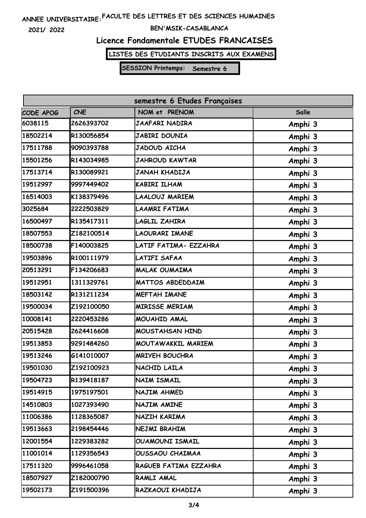**2021/ 2022**

#### **BEN'MSIK-CASABLANCA**

### **Licence Fondamentale ETUDES FRANCAISES**

**LISTES DES ETUDIANTS INSCRITS AUX EXAMENS**

| semestre 6 Etudes Françaises |            |                         |              |  |  |
|------------------------------|------------|-------------------------|--------------|--|--|
| CODE APOG                    | <b>CNE</b> | NOM et PRENOM           | <b>Salle</b> |  |  |
| 6038115                      | 2626393702 | <b>JAAFARI NADIRA</b>   | Amphi 3      |  |  |
| 18502214                     | R130056854 | JABIRI DOUNIA           | Amphi 3      |  |  |
| 17511788                     | 9090393788 | <b>JADOUD AICHA</b>     | Amphi 3      |  |  |
| 15501256                     | R143034985 | <b>JAHROUD KAWTAR</b>   | Amphi 3      |  |  |
| 17513714                     | R130089921 | <b>JANAH KHADIJA</b>    | Amphi 3      |  |  |
| 19512997                     | 9997449402 | KABIRI ILHAM            | Amphi 3      |  |  |
| 16514003                     | K138379496 | <b>LAALOUJ MARIEM</b>   | Amphi 3      |  |  |
| 3025684                      | 2222503829 | LAAMRI FATIMA           | Amphi 3      |  |  |
| 16500497                     | R135417311 | LAGLIL ZAHIRA           | Amphi 3      |  |  |
| 18507553                     | Z182100514 | <b>LAOURARI IMANE</b>   | Amphi 3      |  |  |
| 18500738                     | F140003825 | LATIF FATIMA- EZZAHRA   | Amphi 3      |  |  |
| 19503896                     | R100111979 | LATIFI SAFAA            | Amphi 3      |  |  |
| 20513291                     | F134206683 | <b>MALAK OUMAIMA</b>    | Amphi 3      |  |  |
| 19512951                     | 1311329761 | <b>MATTOS ABDEDDAIM</b> | Amphi 3      |  |  |
| 18503142                     | R131211234 | <b>MEFTAH IMANE</b>     | Amphi 3      |  |  |
| 19500034                     | Z192100050 | <b>MIRISSE MERIAM</b>   | Amphi 3      |  |  |
| 10008141                     | 2220453286 | MOUAHID AMAL            | Amphi 3      |  |  |
| 20515428                     | 2624416608 | <b>MOUSTAHSAN HIND</b>  | Amphi 3      |  |  |
| 19513853                     | 9291484260 | MOUTAWAKKIL MARIEM      | Amphi 3      |  |  |
| 19513246                     | G141010007 | <b>MRIYEH BOUCHRA</b>   | Amphi 3      |  |  |
| 19501030                     | Z192100923 | NACHID LAILA            | Amphi 3      |  |  |
| 19504723                     | R139418187 | <b>NAIM ISMAIL</b>      | Amphi 3      |  |  |
| 19514915                     | 1975197501 | NAJIM AHMED             | Amphi 3      |  |  |
| 14510803                     | 1027393490 | NAJIM AMINE             | Amphi 3      |  |  |
| 11006386                     | 1128365087 | NAZIH KARIMA            | Amphi 3      |  |  |
| 19513663                     | 2198454446 | NEJMI BRAHIM            | Amphi 3      |  |  |
| 12001554                     | 1229383282 | OUAMOUNI ISMAIL         | Amphi 3      |  |  |
| 11001014                     | 1129356543 | OUSSAOU CHAIMAA         | Amphi 3      |  |  |
| 17511320                     | 9996461058 | RAGUEB FATIMA EZZAHRA   | Amphi 3      |  |  |
| 18507927                     | Z182000790 | RAMLI AMAL              | Amphi 3      |  |  |
| 19502173                     | Z191500396 | RAZKAOUI KHADIJA        | Amphi 3      |  |  |